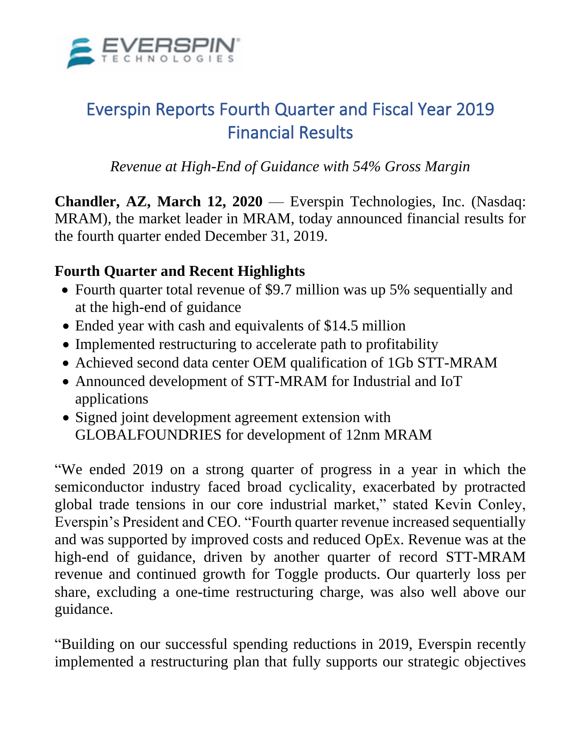

# Everspin Reports Fourth Quarter and Fiscal Year 2019 Financial Results

*Revenue at High-End of Guidance with 54% Gross Margin* 

**Chandler, AZ, March 12, 2020** — Everspin Technologies, Inc. (Nasdaq: MRAM), the market leader in MRAM, today announced financial results for the fourth quarter ended December 31, 2019.

## **Fourth Quarter and Recent Highlights**

- Fourth quarter total revenue of \$9.7 million was up 5% sequentially and at the high-end of guidance
- Ended year with cash and equivalents of \$14.5 million
- Implemented restructuring to accelerate path to profitability
- Achieved second data center OEM qualification of 1Gb STT-MRAM
- Announced development of STT-MRAM for Industrial and IoT applications
- Signed joint development agreement extension with GLOBALFOUNDRIES for development of 12nm MRAM

"We ended 2019 on a strong quarter of progress in a year in which the semiconductor industry faced broad cyclicality, exacerbated by protracted global trade tensions in our core industrial market," stated Kevin Conley, Everspin's President and CEO. "Fourth quarter revenue increased sequentially and was supported by improved costs and reduced OpEx. Revenue was at the high-end of guidance, driven by another quarter of record STT-MRAM revenue and continued growth for Toggle products. Our quarterly loss per share, excluding a one-time restructuring charge, was also well above our guidance.

"Building on our successful spending reductions in 2019, Everspin recently implemented a restructuring plan that fully supports our strategic objectives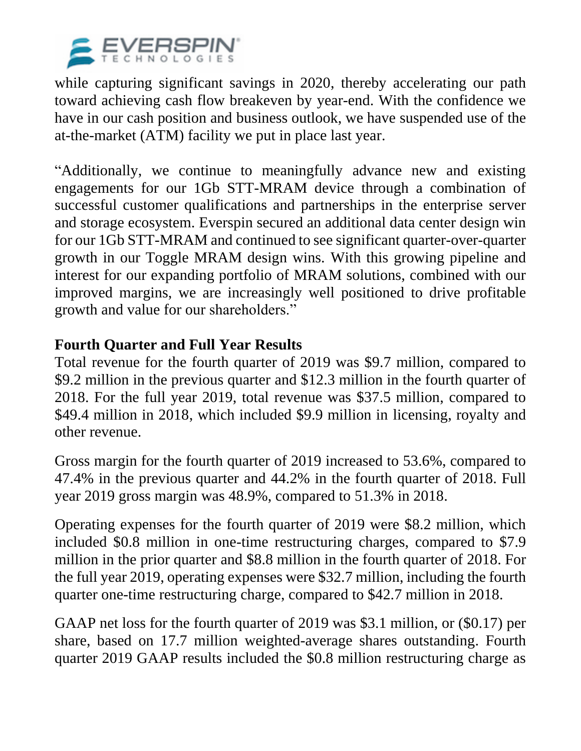

while capturing significant savings in 2020, thereby accelerating our path toward achieving cash flow breakeven by year-end. With the confidence we have in our cash position and business outlook, we have suspended use of the at-the-market (ATM) facility we put in place last year.

"Additionally, we continue to meaningfully advance new and existing engagements for our 1Gb STT-MRAM device through a combination of successful customer qualifications and partnerships in the enterprise server and storage ecosystem. Everspin secured an additional data center design win for our 1Gb STT-MRAM and continued to see significant quarter-over-quarter growth in our Toggle MRAM design wins. With this growing pipeline and interest for our expanding portfolio of MRAM solutions, combined with our improved margins, we are increasingly well positioned to drive profitable growth and value for our shareholders."

### **Fourth Quarter and Full Year Results**

Total revenue for the fourth quarter of 2019 was \$9.7 million, compared to \$9.2 million in the previous quarter and \$12.3 million in the fourth quarter of 2018. For the full year 2019, total revenue was \$37.5 million, compared to \$49.4 million in 2018, which included \$9.9 million in licensing, royalty and other revenue.

Gross margin for the fourth quarter of 2019 increased to 53.6%, compared to 47.4% in the previous quarter and 44.2% in the fourth quarter of 2018. Full year 2019 gross margin was 48.9%, compared to 51.3% in 2018.

Operating expenses for the fourth quarter of 2019 were \$8.2 million, which included \$0.8 million in one-time restructuring charges, compared to \$7.9 million in the prior quarter and \$8.8 million in the fourth quarter of 2018. For the full year 2019, operating expenses were \$32.7 million, including the fourth quarter one-time restructuring charge, compared to \$42.7 million in 2018.

GAAP net loss for the fourth quarter of 2019 was \$3.1 million, or (\$0.17) per share, based on 17.7 million weighted-average shares outstanding. Fourth quarter 2019 GAAP results included the \$0.8 million restructuring charge as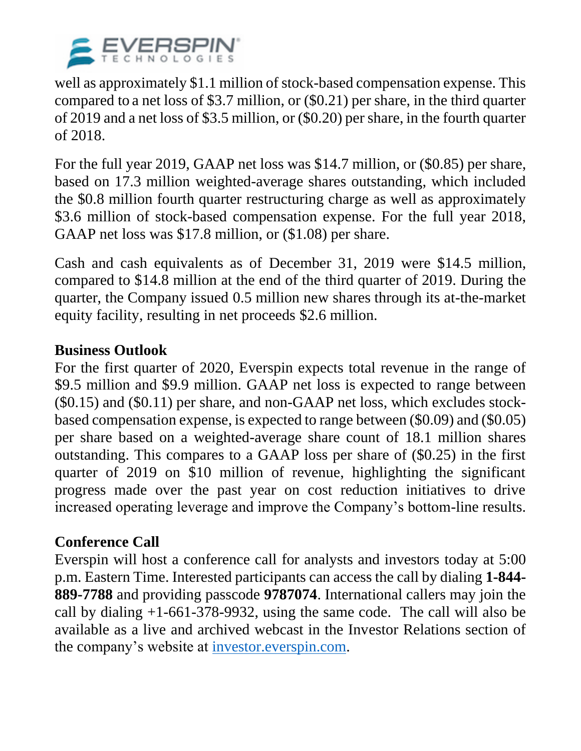

well as approximately \$1.1 million of stock-based compensation expense. This compared to a net loss of \$3.7 million, or (\$0.21) per share, in the third quarter of 2019 and a net loss of \$3.5 million, or (\$0.20) per share, in the fourth quarter of 2018.

For the full year 2019, GAAP net loss was \$14.7 million, or (\$0.85) per share, based on 17.3 million weighted-average shares outstanding, which included the \$0.8 million fourth quarter restructuring charge as well as approximately \$3.6 million of stock-based compensation expense. For the full year 2018, GAAP net loss was \$17.8 million, or (\$1.08) per share.

Cash and cash equivalents as of December 31, 2019 were \$14.5 million, compared to \$14.8 million at the end of the third quarter of 2019. During the quarter, the Company issued 0.5 million new shares through its at-the-market equity facility, resulting in net proceeds \$2.6 million.

### **Business Outlook**

For the first quarter of 2020, Everspin expects total revenue in the range of \$9.5 million and \$9.9 million. GAAP net loss is expected to range between (\$0.15) and (\$0.11) per share, and non-GAAP net loss, which excludes stockbased compensation expense, is expected to range between (\$0.09) and (\$0.05) per share based on a weighted-average share count of 18.1 million shares outstanding. This compares to a GAAP loss per share of (\$0.25) in the first quarter of 2019 on \$10 million of revenue, highlighting the significant progress made over the past year on cost reduction initiatives to drive increased operating leverage and improve the Company's bottom-line results.

### **Conference Call**

Everspin will host a conference call for analysts and investors today at 5:00 p.m. Eastern Time. Interested participants can access the call by dialing **1-844- 889-7788** and providing passcode **9787074**. International callers may join the call by dialing +1-661-378-9932, using the same code. The call will also be available as a live and archived webcast in the Investor Relations section of the company's website at [investor.everspin.com.](http://investor.everspin.com/)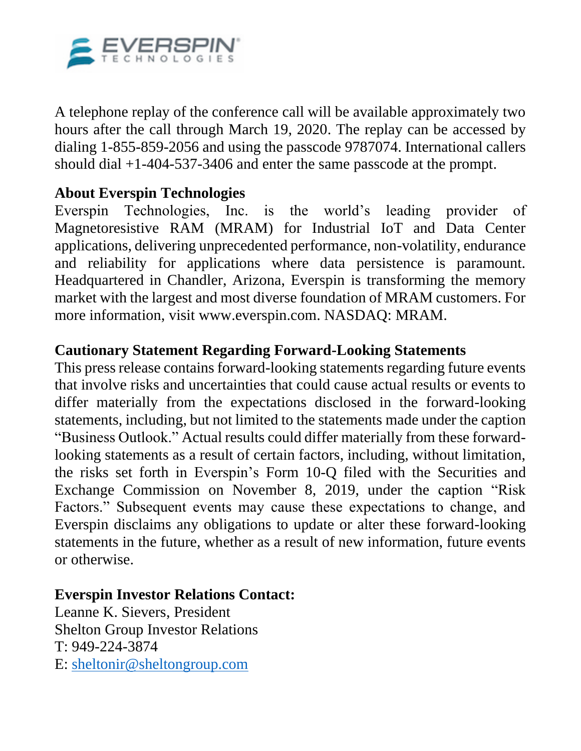

A telephone replay of the conference call will be available approximately two hours after the call through March 19, 2020. The replay can be accessed by dialing 1-855-859-2056 and using the passcode 9787074. International callers should dial +1-404-537-3406 and enter the same passcode at the prompt.

### **About Everspin Technologies**

Everspin Technologies, Inc. is the world's leading provider of Magnetoresistive RAM (MRAM) for Industrial IoT and Data Center applications, delivering unprecedented performance, non-volatility, endurance and reliability for applications where data persistence is paramount. Headquartered in Chandler, Arizona, Everspin is transforming the memory market with the largest and most diverse foundation of MRAM customers. For more information, visit www.everspin.com. NASDAQ: MRAM.

#### **Cautionary Statement Regarding Forward-Looking Statements**

This press release contains forward-looking statements regarding future events that involve risks and uncertainties that could cause actual results or events to differ materially from the expectations disclosed in the forward-looking statements, including, but not limited to the statements made under the caption "Business Outlook." Actual results could differ materially from these forwardlooking statements as a result of certain factors, including, without limitation, the risks set forth in Everspin's Form 10-Q filed with the Securities and Exchange Commission on November 8, 2019, under the caption "Risk Factors." Subsequent events may cause these expectations to change, and Everspin disclaims any obligations to update or alter these forward-looking statements in the future, whether as a result of new information, future events or otherwise.

#### **Everspin Investor Relations Contact:**

Leanne K. Sievers, President Shelton Group Investor Relations T: 949-224-3874 E: [sheltonir@sheltongroup.com](mailto:sheltonir@sheltongroup.com)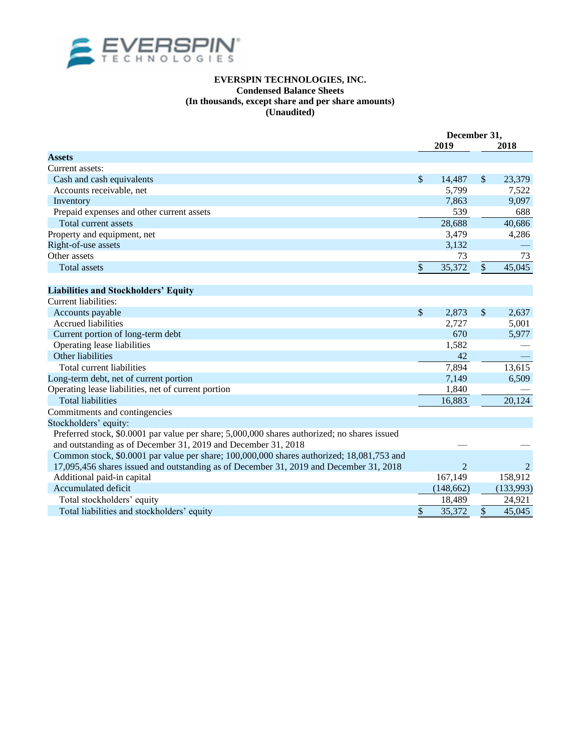

#### **EVERSPIN TECHNOLOGIES, INC. Condensed Balance Sheets (In thousands, except share and per share amounts) (Unaudited)**

|                                                                                              |    | December 31,<br>2019 |               | 2018           |  |
|----------------------------------------------------------------------------------------------|----|----------------------|---------------|----------------|--|
| <b>Assets</b>                                                                                |    |                      |               |                |  |
| Current assets:                                                                              |    |                      |               |                |  |
| Cash and cash equivalents                                                                    | \$ | 14,487               | \$            | 23,379         |  |
| Accounts receivable, net                                                                     |    | 5,799                |               | 7,522          |  |
| Inventory                                                                                    |    | 7,863                |               | 9,097          |  |
| Prepaid expenses and other current assets                                                    |    | 539                  |               | 688            |  |
| Total current assets                                                                         |    | 28,688               |               | 40,686         |  |
| Property and equipment, net                                                                  |    | 3,479                |               | 4,286          |  |
| Right-of-use assets                                                                          |    | 3,132                |               |                |  |
| Other assets                                                                                 |    | 73                   |               | 73             |  |
| <b>Total assets</b>                                                                          | \$ | 35,372               | $\mathcal{S}$ | 45,045         |  |
|                                                                                              |    |                      |               |                |  |
| <b>Liabilities and Stockholders' Equity</b>                                                  |    |                      |               |                |  |
| Current liabilities:                                                                         |    |                      |               |                |  |
| Accounts payable                                                                             | \$ | 2,873                | $\mathbb{S}$  | 2.637          |  |
| <b>Accrued liabilities</b>                                                                   |    | 2,727                |               | 5,001          |  |
| Current portion of long-term debt                                                            |    | 670                  |               | 5,977          |  |
| Operating lease liabilities                                                                  |    | 1,582                |               |                |  |
| Other liabilities                                                                            |    | 42                   |               |                |  |
| Total current liabilities                                                                    |    | 7,894                |               | 13,615         |  |
| Long-term debt, net of current portion                                                       |    | 7,149                |               | 6,509          |  |
| Operating lease liabilities, net of current portion                                          |    | 1,840                |               |                |  |
| <b>Total liabilities</b>                                                                     |    | 16,883               |               | 20,124         |  |
| Commitments and contingencies                                                                |    |                      |               |                |  |
| Stockholders' equity:                                                                        |    |                      |               |                |  |
| Preferred stock, \$0.0001 par value per share; 5,000,000 shares authorized; no shares issued |    |                      |               |                |  |
| and outstanding as of December 31, 2019 and December 31, 2018                                |    |                      |               |                |  |
| Common stock, \$0.0001 par value per share; 100,000,000 shares authorized; 18,081,753 and    |    |                      |               |                |  |
| 17,095,456 shares issued and outstanding as of December 31, 2019 and December 31, 2018       |    | $\overline{2}$       |               | $\overline{2}$ |  |
| Additional paid-in capital                                                                   |    | 167,149              |               | 158,912        |  |
| Accumulated deficit                                                                          |    | (148, 662)           |               | (133,993)      |  |
| Total stockholders' equity                                                                   |    | 18,489               |               | 24,921         |  |
| Total liabilities and stockholders' equity                                                   | \$ | 35,372               | $\mathbb{S}$  | 45,045         |  |
|                                                                                              |    |                      |               |                |  |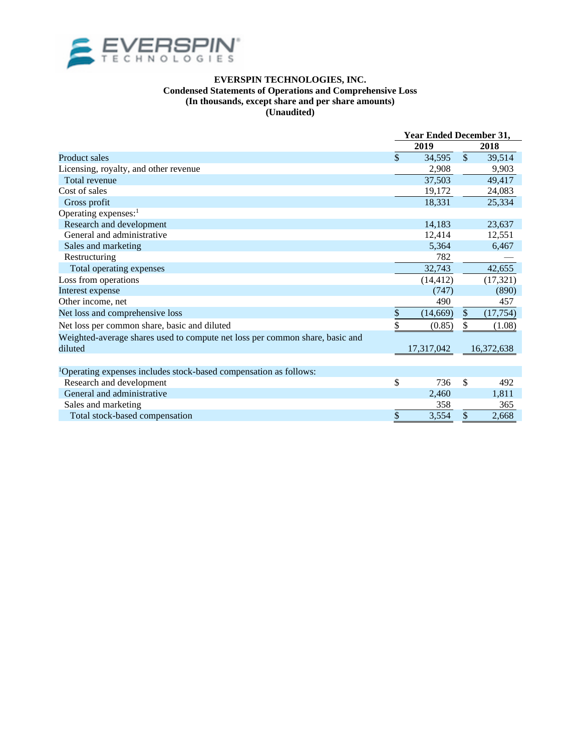

#### **EVERSPIN TECHNOLOGIES, INC. Condensed Statements of Operations and Comprehensive Loss**

#### **(In thousands, except share and per share amounts)**

**(Unaudited)**

|                                                                               | Year Ended December 31, |            |              |            |  |
|-------------------------------------------------------------------------------|-------------------------|------------|--------------|------------|--|
|                                                                               |                         | 2019       |              | 2018       |  |
| <b>Product sales</b>                                                          | $\mathcal{S}$           | 34,595     | $\mathbb{S}$ | 39,514     |  |
| Licensing, royalty, and other revenue                                         |                         | 2,908      |              | 9,903      |  |
| Total revenue                                                                 |                         | 37,503     |              | 49,417     |  |
| Cost of sales                                                                 |                         | 19,172     |              | 24,083     |  |
| Gross profit                                                                  |                         | 18,331     |              | 25,334     |  |
| Operating expenses: <sup>1</sup>                                              |                         |            |              |            |  |
| Research and development                                                      |                         | 14,183     |              | 23,637     |  |
| General and administrative                                                    |                         | 12,414     |              | 12,551     |  |
| Sales and marketing                                                           |                         | 5,364      |              | 6,467      |  |
| Restructuring                                                                 |                         | 782        |              |            |  |
| Total operating expenses                                                      |                         | 32,743     |              | 42,655     |  |
| Loss from operations                                                          |                         | (14, 412)  |              | (17, 321)  |  |
| Interest expense                                                              |                         | (747)      |              | (890)      |  |
| Other income, net                                                             |                         | 490        |              | 457        |  |
| Net loss and comprehensive loss                                               | \$                      | (14,669)   | \$           | (17, 754)  |  |
| Net loss per common share, basic and diluted                                  | \$                      | (0.85)     | \$           | (1.08)     |  |
| Weighted-average shares used to compute net loss per common share, basic and  |                         |            |              |            |  |
| diluted                                                                       |                         | 17,317,042 |              | 16,372,638 |  |
|                                                                               |                         |            |              |            |  |
| <sup>1</sup> Operating expenses includes stock-based compensation as follows: |                         |            |              |            |  |
| Research and development                                                      | \$                      | 736        | \$           | 492        |  |
| General and administrative                                                    |                         | 2,460      |              | 1,811      |  |
| Sales and marketing                                                           |                         | 358        |              | 365        |  |
| Total stock-based compensation                                                | \$                      | 3,554      | \$           | 2,668      |  |